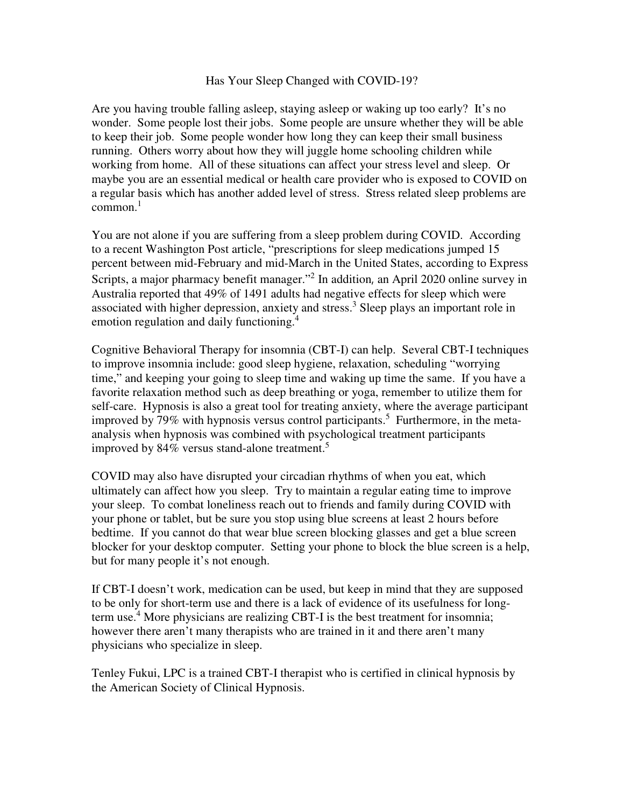## Has Your Sleep Changed with COVID-19?

Are you having trouble falling asleep, staying asleep or waking up too early? It's no wonder. Some people lost their jobs. Some people are unsure whether they will be able to keep their job. Some people wonder how long they can keep their small business running. Others worry about how they will juggle home schooling children while working from home. All of these situations can affect your stress level and sleep. Or maybe you are an essential medical or health care provider who is exposed to COVID on a regular basis which has another added level of stress. Stress related sleep problems are common. $^1$ 

You are not alone if you are suffering from a sleep problem during COVID. According to a recent Washington Post article, "prescriptions for sleep medications jumped 15 percent between mid-February and mid-March in the United States, according to Express Scripts, a major pharmacy benefit manager."<sup>2</sup> In addition, an April 2020 online survey in Australia reported that 49% of 1491 adults had negative effects for sleep which were associated with higher depression, anxiety and stress.<sup>3</sup> Sleep plays an important role in emotion regulation and daily functioning.<sup>4</sup>

Cognitive Behavioral Therapy for insomnia (CBT-I) can help. Several CBT-I techniques to improve insomnia include: good sleep hygiene, relaxation, scheduling "worrying time," and keeping your going to sleep time and waking up time the same. If you have a favorite relaxation method such as deep breathing or yoga, remember to utilize them for self-care. Hypnosis is also a great tool for treating anxiety, where the average participant improved by 79% with hypnosis versus control participants.<sup>5</sup> Furthermore, in the metaanalysis when hypnosis was combined with psychological treatment participants improved by 84% versus stand-alone treatment.<sup>5</sup>

COVID may also have disrupted your circadian rhythms of when you eat, which ultimately can affect how you sleep. Try to maintain a regular eating time to improve your sleep. To combat loneliness reach out to friends and family during COVID with your phone or tablet, but be sure you stop using blue screens at least 2 hours before bedtime. If you cannot do that wear blue screen blocking glasses and get a blue screen blocker for your desktop computer. Setting your phone to block the blue screen is a help, but for many people it's not enough.

If CBT-I doesn't work, medication can be used, but keep in mind that they are supposed to be only for short-term use and there is a lack of evidence of its usefulness for longterm use.<sup>4</sup> More physicians are realizing CBT-I is the best treatment for insomnia; however there aren't many therapists who are trained in it and there aren't many physicians who specialize in sleep.

Tenley Fukui, LPC is a trained CBT-I therapist who is certified in clinical hypnosis by the American Society of Clinical Hypnosis.